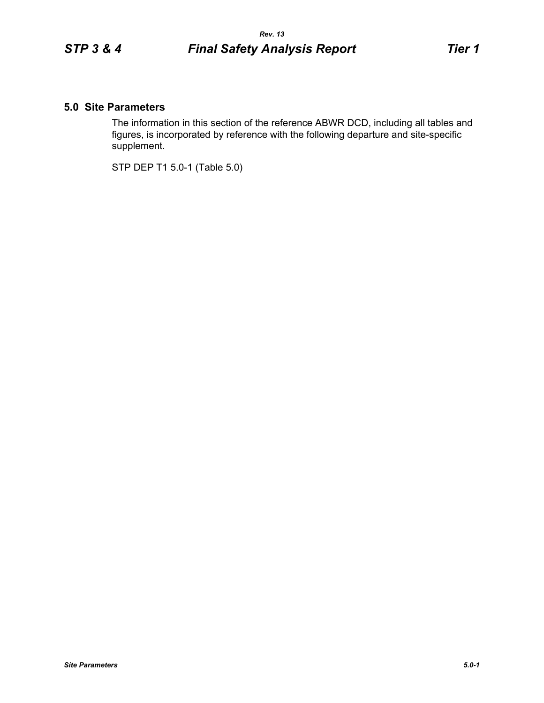## **5.0 Site Parameters**

The information in this section of the reference ABWR DCD, including all tables and figures, is incorporated by reference with the following departure and site-specific supplement.

STP DEP T1 5.0-1 (Table 5.0)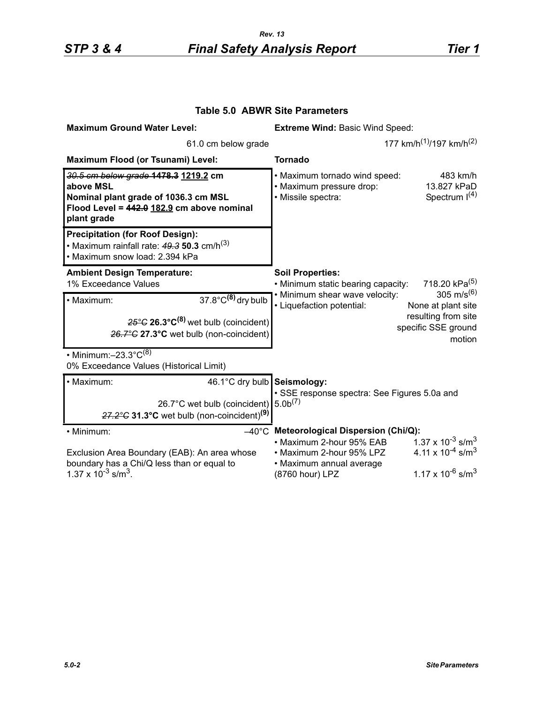| <b>Maximum Ground Water Level:</b>                                                                                                                     | <b>Extreme Wind: Basic Wind Speed:</b>                                                                               |                                                                             |
|--------------------------------------------------------------------------------------------------------------------------------------------------------|----------------------------------------------------------------------------------------------------------------------|-----------------------------------------------------------------------------|
| 61.0 cm below grade                                                                                                                                    | 177 km/h <sup>(1)</sup> /197 km/h <sup>(2)</sup>                                                                     |                                                                             |
| Maximum Flood (or Tsunami) Level:                                                                                                                      | <b>Tornado</b>                                                                                                       |                                                                             |
| 30.5 cm below grade 1478.3 1219.2 cm<br>above MSL<br>Nominal plant grade of 1036.3 cm MSL<br>Flood Level = 442.0 182.9 cm above nominal<br>plant grade | • Maximum tornado wind speed:<br>· Maximum pressure drop:<br>· Missile spectra:                                      | 483 km/h<br>13.827 kPaD<br>Spectrum $I(4)$                                  |
| <b>Precipitation (for Roof Design):</b><br>• Maximum rainfall rate: $49.3$ 50.3 cm/h <sup>(3)</sup><br>• Maximum snow load: 2.394 kPa                  |                                                                                                                      |                                                                             |
| <b>Ambient Design Temperature:</b><br>1% Exceedance Values                                                                                             | <b>Soil Properties:</b><br>718.20 kPa <sup>(5)</sup><br>• Minimum static bearing capacity:<br>305 m/s <sup>(6)</sup> |                                                                             |
| $37.8^{\circ}$ C <sup>(8)</sup> dry bulb<br>· Maximum:                                                                                                 | • Minimum shear wave velocity:<br>• Liquefaction potential:                                                          | None at plant site                                                          |
| $25^{\circ}$ G 26.3 $^{\circ}$ C <sup>(8)</sup> wet bulb (coincident)<br>26.7°C 27.3°C wet bulb (non-coincident)                                       |                                                                                                                      | resulting from site<br>specific SSE ground<br>motion                        |
| $\cdot$ Minimum: $-23.3^{\circ}C^{(8)}$<br>0% Exceedance Values (Historical Limit)                                                                     |                                                                                                                      |                                                                             |
| 46.1°C dry bulb Seismology:<br>· Maximum:                                                                                                              | · SSE response spectra: See Figures 5.0a and<br>5.0 <sup>(7)</sup>                                                   |                                                                             |
| 26.7°C wet bulb (coincident)<br>$27.2^{\circ}$ G 31.3°C wet bulb (non-coincident) <sup>(9)</sup>                                                       |                                                                                                                      |                                                                             |
| • Minimum:                                                                                                                                             | $-40^{\circ}$ C Meteorological Dispersion (Chi/Q):                                                                   |                                                                             |
| Exclusion Area Boundary (EAB): An area whose<br>boundary has a Chi/Q less than or equal to                                                             | • Maximum 2-hour 95% EAB<br>• Maximum 2-hour 95% LPZ<br>• Maximum annual average                                     | $1.37 \times 10^{-3}$ s/m <sup>3</sup><br>4.11 x $10^{-4}$ s/m <sup>3</sup> |
| $1.37 \times 10^{-3}$ s/m <sup>3</sup> .                                                                                                               | (8760 hour) LPZ                                                                                                      | 1.17 x 10 <sup>-6</sup> s/m <sup>3</sup>                                    |

## **Table 5.0 ABWR Site Parameters**